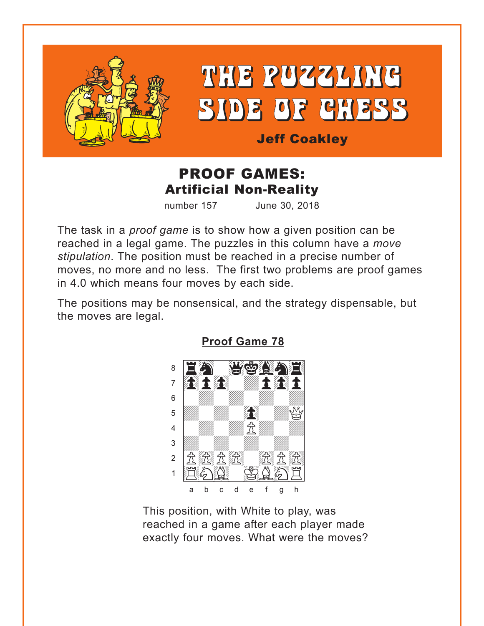<span id="page-0-0"></span>

# THE PUZZLING SIDE OF CHESS

**Jeff Coakley** 

# **PROOF GAMES: Artificial Non-Reality**

number 157 June 30, 2018

The task in a *proof game* is to show how a given position can be reached in a legal game. The puzzles in this column have a move stipulation. The position must be reached in a precise number of moves, no more and no less. The first two problems are proof games in 4.0 which means four moves by each side.

The positions may be nonsensical, and the strategy dispensable, but the moves are legal.



**Proof Game 78** 

This position, with White to play, was reached in a game after each player made exactly four moves. What were the moves?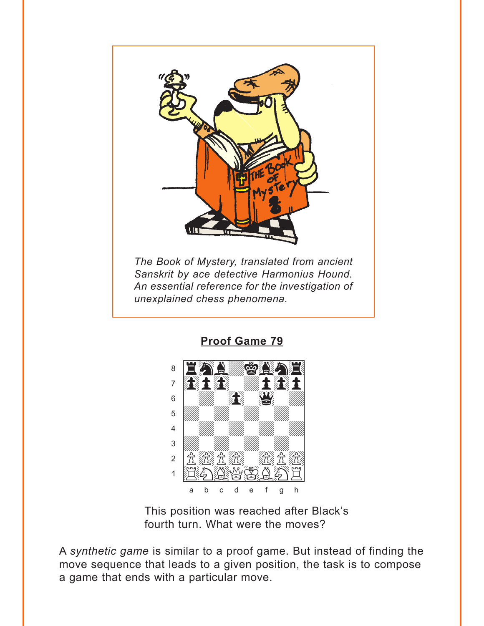<span id="page-1-0"></span>

**Proof Game 79** 



This position was reached after Black's fourth turn. What were the moves?

A synthetic game is similar to a proof game. But instead of finding the move sequence that leads to a given position, the task is to compose a game that ends with a particular move.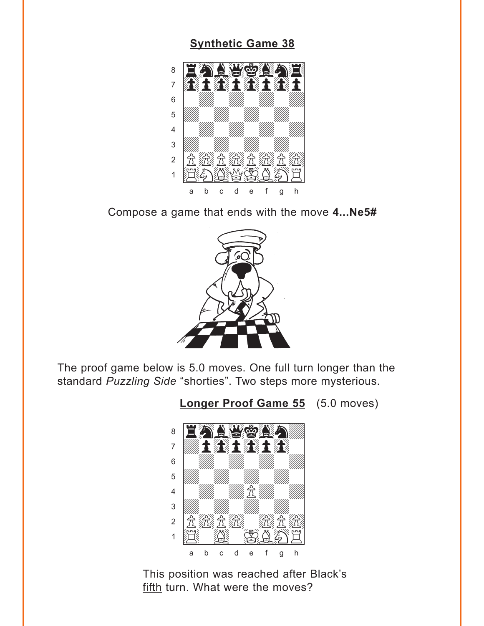### **[Synthetic Game 38](#page-6-0)**

<span id="page-2-0"></span>

Compose a game that ends with the move **4...Ne5#**



The proof game below is 5.0 moves. One full turn longer than the standard *Puzzling Side* "shorties". Two steps more mysterious.

**[Longer Proof Game 55](#page-7-0)** (5.0 moves)



This position was reached after Black's fifth turn. What were the moves?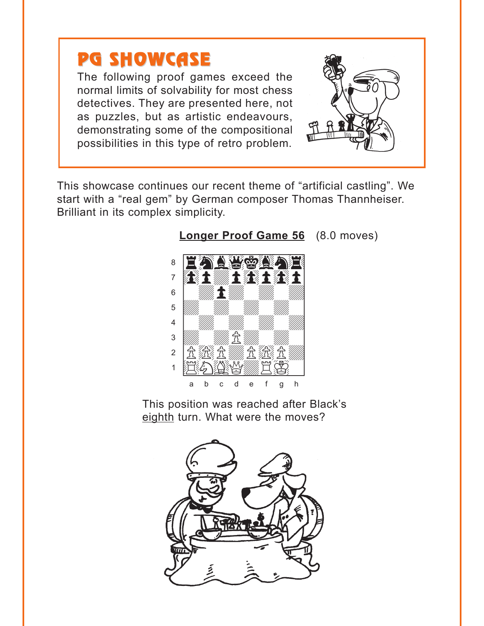# <span id="page-3-0"></span>**PG SHOWCASE**

The following proof games exceed the normal limits of solvability for most chess detectives. They are presented here, not as puzzles, but as artistic endeavours, demonstrating some of the compositional possibilities in this type of retro problem.

This showcase continues our recent theme of "artificial castling". We start with a "real gem" by German composer Thomas Thannheiser. Brilliant in its complex simplicity.



Longer Proof Game 56 (8.0 moves)

This position was reached after Black's eighth turn. What were the moves?

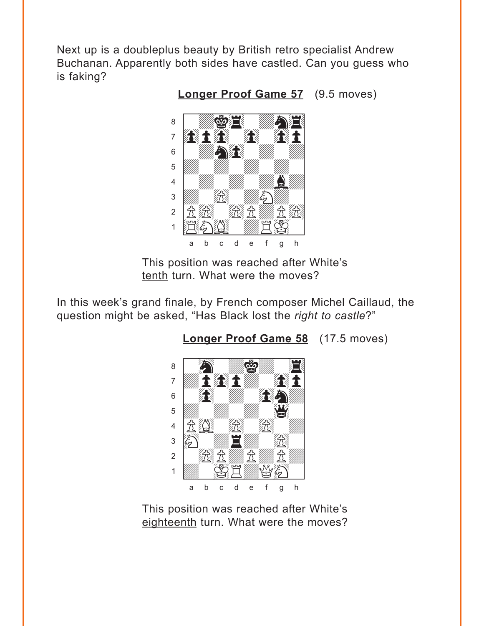<span id="page-4-0"></span>Next up is a doubleplus beauty by British retro specialist Andrew Buchanan. Apparently both sides have castled. Can you guess who is faking?

**Longer Proof Game 57** (9.5 moves)



This position was reached after White's tenth turn. What were the moves?

In this week's grand finale, by French composer Michel Caillaud, the question might be asked, "Has Black lost the right to castle?"

Longer Proof Game 58 (17.5 moves)



This position was reached after White's eighteenth turn. What were the moves?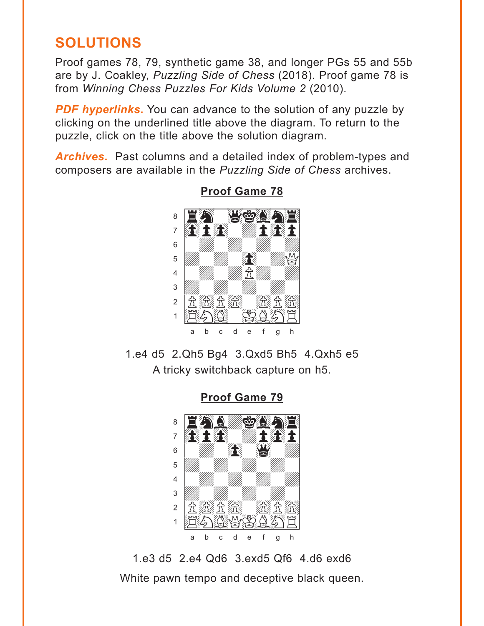# <span id="page-5-0"></span>**SOLUTIONS**

Proof games 78, 79, synthetic game 38, and longer PGs 55 and 55b are by J. Coakley, Puzzling Side of Chess (2018). Proof game 78 is from Winning Chess Puzzles For Kids Volume 2 (2010).

**PDF hyperlinks.** You can advance to the solution of any puzzle by clicking on the underlined title above the diagram. To return to the puzzle, click on the title above the solution diagram.

**Archives.** Past columns and a detailed index of problem-types and composers are available in the Puzzling Side of Chess archives.



**Proof Game 78** 

1.e4 d5 2.Qh5 Bg4 3.Qxd5 Bh5 4.Qxh5 e5 A tricky switchback capture on h5.

**Proof Game 79** 



1.e3 d5 2.e4 Qd6 3.exd5 Qf6 4.d6 exd6 White pawn tempo and deceptive black queen.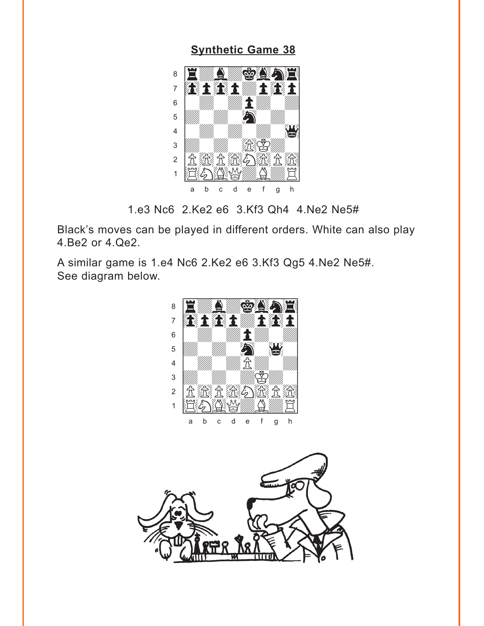#### **[Synthetic Game 38](#page-2-0)**

<span id="page-6-0"></span>

1.e3 Nc6 2.Ke2 e6 3.Kf3 Qh4 4.Ne2 Ne5#

Black's moves can be played in different orders. White can also play 4.Be2 or 4.Qe2.

A similar game is 1.e4 Nc6 2.Ke2 e6 3.Kf3 Qg5 4.Ne2 Ne5#. See diagram below.



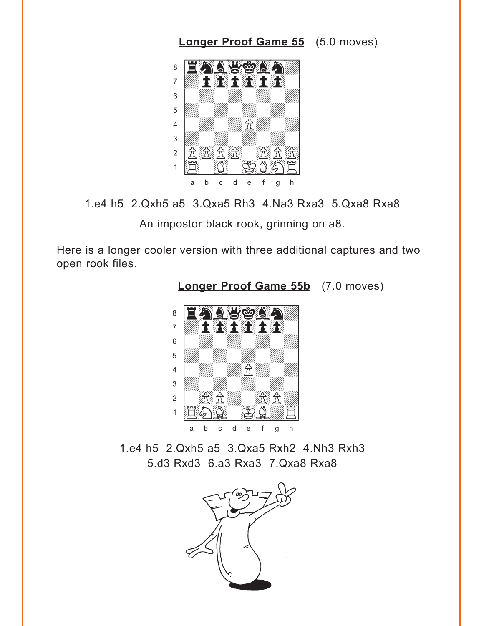<span id="page-7-0"></span>



An impostor black rook, grinning on a8.

Here is a longer cooler version with three additional captures and two open rook files.



**[Longer Proof Game 55b](#page-2-0)** (7.0 moves)

1.e4 h5 2.Qxh5 a5 3.Qxa5 Rxh2 4.Nh3 Rxh3 5.d3 Rxd3 6.a3 Rxa3 7.Qxa8 Rxa8

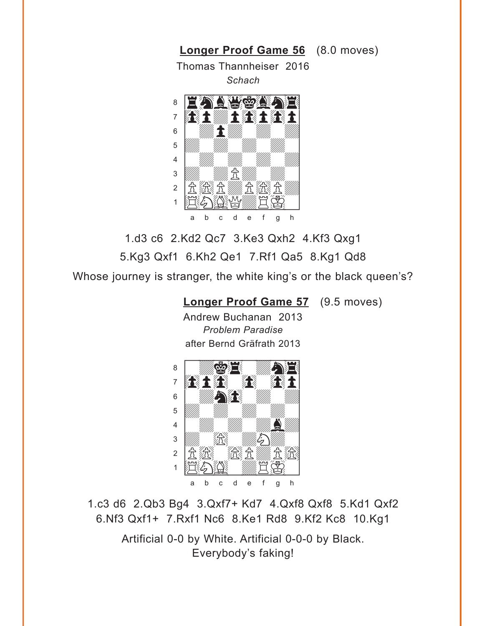<span id="page-8-0"></span>

1.d3 c6 2.Kd2 Qc7 3.Ke3 Qxh2 4.Kf3 Qxg1 5.Kg3 Qxf1 6.Kh2 Qe1 7.Rf1 Qa5 8.Kg1 Qd8 Whose journey is stranger, the white king's or the black queen's?

### **[Longer Proof Game 57](#page-4-0)** (9.5 moves)

Andrew Buchanan 2013 *Problem Paradise* after Bernd Gräfrath 2013



1.c3 d6 2.Qb3 Bg4 3.Qxf7+ Kd7 4.Qxf8 Qxf8 5.Kd1 Qxf2 6.Nf3 Qxf1+ 7.Rxf1 Nc6 8.Ke1 Rd8 9.Kf2 Kc8 10.Kg1

> Artificial 0-0 by White. Artificial 0-0-0 by Black. Everybody's faking!